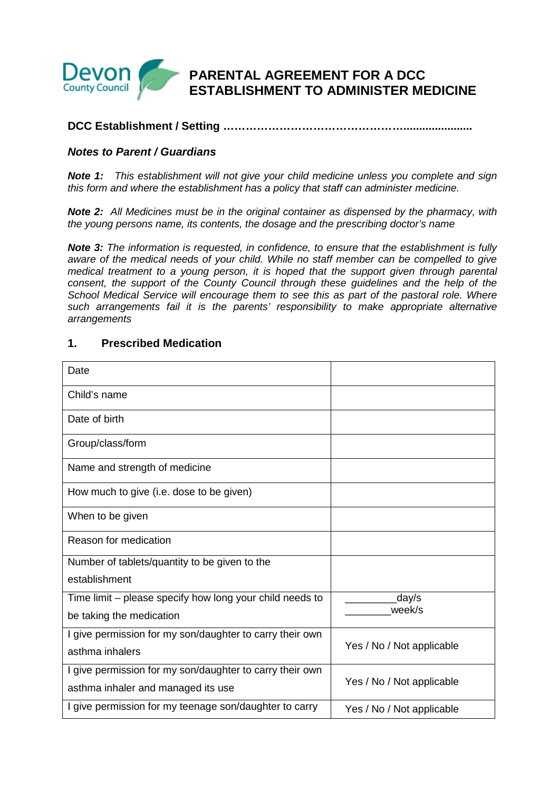

## **DCC Establishment / Setting …………………………………………......................**

## **Notes to Parent / Guardians**

**Note 1:** This establishment will not give your child medicine unless you complete and sign this form and where the establishment has a policy that staff can administer medicine.

**Note 2:** All Medicines must be in the original container as dispensed by the pharmacy, with the young persons name, its contents, the dosage and the prescribing doctor's name

**Note 3:** The information is requested, in confidence, to ensure that the establishment is fully aware of the medical needs of your child. While no staff member can be compelled to give medical treatment to a young person, it is hoped that the support given through parental consent, the support of the County Council through these guidelines and the help of the School Medical Service will encourage them to see this as part of the pastoral role. Where such arrangements fail it is the parents' responsibility to make appropriate alternative arrangements

## **1. Prescribed Medication**

| Date                                                     |                           |  |
|----------------------------------------------------------|---------------------------|--|
| Child's name                                             |                           |  |
| Date of birth                                            |                           |  |
| Group/class/form                                         |                           |  |
| Name and strength of medicine                            |                           |  |
| How much to give (i.e. dose to be given)                 |                           |  |
| When to be given                                         |                           |  |
| Reason for medication                                    |                           |  |
| Number of tablets/quantity to be given to the            |                           |  |
| establishment                                            |                           |  |
| Time limit – please specify how long your child needs to | day/s                     |  |
| be taking the medication                                 | week/s                    |  |
| I give permission for my son/daughter to carry their own |                           |  |
| asthma inhalers                                          | Yes / No / Not applicable |  |
| I give permission for my son/daughter to carry their own |                           |  |
| asthma inhaler and managed its use                       | Yes / No / Not applicable |  |
| I give permission for my teenage son/daughter to carry   | Yes / No / Not applicable |  |